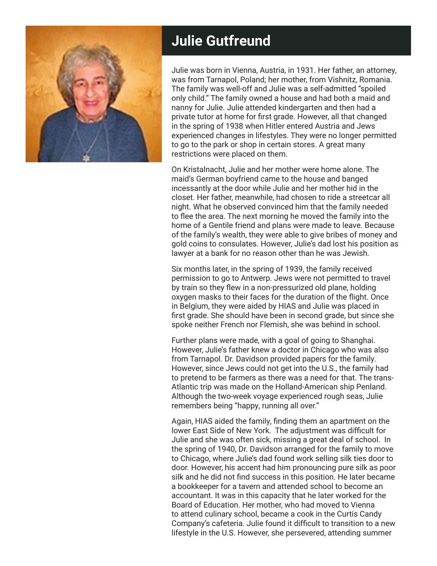

## **Julie Gutfreund**

Julie was born in Vienna, Austria, in 1931. Her father, an attorney, was from Tarnapol, Poland; her mother, from Vishnitz, Romania. The family was well-off and Julie was a self-admitted "spoiled only child." The family owned a house and had both a maid and nanny for Julie. Julie attended kindergarten and then had a private tutor at home for first grade. However, all that changed in the spring of 1938 when Hitler entered Austria and Jews experienced changes in lifestyles. They were no longer permitted to go to the park or shop in certain stores. A great many restrictions were placed on them.

On Kristalnacht, Julie and her mother were home alone. The maid's German boyfriend came to the house and banged incessantly at the door while Julie and her mother hid in the closet. Her father, meanwhile, had chosen to ride a streetcar all night. What he observed convinced him that the family needed to flee the area. The next morning he moved the family into the home of a Gentile friend and plans were made to leave. Because of the family's wealth, they were able to give bribes of money and gold coins to consulates. However, Julie's dad lost his position as lawyer at a bank for no reason other than he was Jewish.

Six months later, in the spring of 1939, the family received permission to go to Antwerp. Jews were not permitted to travel by train so they flew in a non-pressurized old plane, holding oxygen masks to their faces for the duration of the flight. Once in Belgium, they were aided by HIAS and Julie was placed in first grade. She should have been in second grade, but since she spoke neither French nor Flemish, she was behind in school.

Further plans were made, with a goal of going to Shanghai. However, Julie's father knew a doctor in Chicago who was also from Tarnapol. Dr. Davidson provided papers for the family. However, since Jews could not get into the U.S., the family had to pretend to be farmers as there was a need for that. The trans-Atlantic trip was made on the Holland-American ship Penland. Although the two-week voyage experienced rough seas, Julie remembers being "happy, running all over."

Again, HIAS aided the family, finding them an apartment on the lower East Side of New York. The adjustment was difficult for Julie and she was often sick, missing a great deal of school. In the spring of 1940, Dr. Davidson arranged for the family to move to Chicago, where Julie's dad found work selling silk ties door to door. However, his accent had him pronouncing pure silk as poor silk and he did not find success in this position. He later became a bookkeeper for a tavern and attended school to become an accountant. It was in this capacity that he later worked for the Board of Education. Her mother, who had moved to Vienna to attend culinary school, became a cook in the Curtis Candy Company's cafeteria. Julie found it difficult to transition to a new lifestyle in the U.S. However, she persevered, attending summer